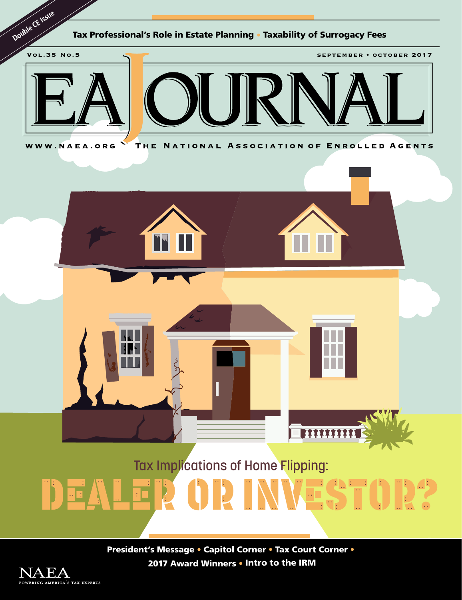



FC TA

 $\ddots$ 

President's Message • Capitol Corner • Tax Court Corner • 2017 Award Winners • Intro to the IRM

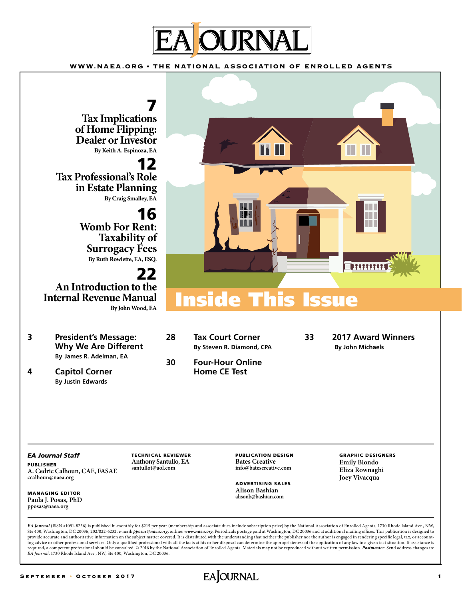

### WWW.NAEA.ORG • THE NATIONAL ASSOCIATION OF ENROLLED AGENTS



MANAGING EDITOR **Paula J. Posas, PhD pposas@naea.org**

ADVERTISING SALES **Alison Bashian alisonb@bashian.com**

*EA Journal* (ISSN #1091-8256) is published bi-monthly for \$215 per year (membership and associate dues include subscription price) by the National Association of Enrolled Agents, 1730 Rhode Island Ave., NW, Ste 400, Washington, DC 20036, 202/822-6232, e-mail: *pposas@naea.org*, online: *www.naea.org*. Periodicals postage paid at Washington, DC 20036 and at additional mailing offices. This publication is designed to provide accurate and authoritative information on the subject matter covered. It is distributed with the understanding that neither the publisher nor the author is engaged in rendering specific legal, tax, or accounting advice or other professional services. Only a qualified professional with all the facts at his or her disposal can determine the appropriateness of the application of any law to a given fact situation. If assistance is *EA Journal*, 1730 Rhode Island Ave., NW, Ste 400, Washington, DC 20036.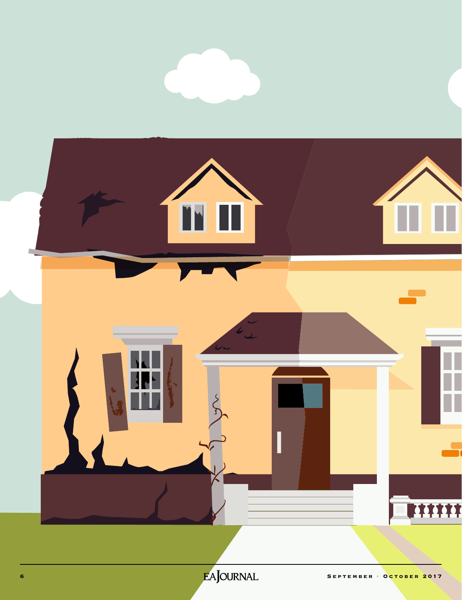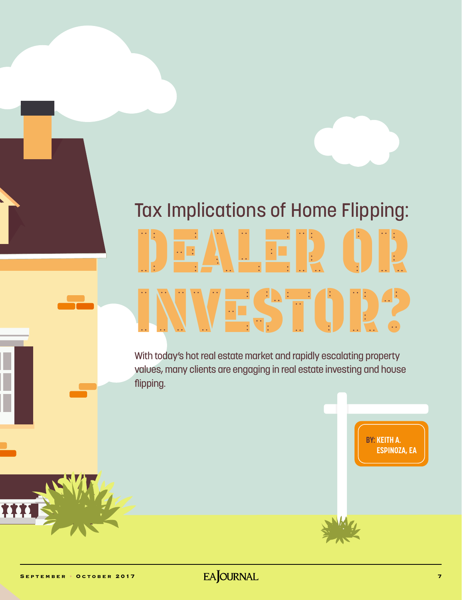# Tax Implications of Home Flipping: DEALER OR INVESTOR?

With today's hot real estate market and rapidly escalating property values, many clients are engaging in real estate investing and house flipping.

> **BY: KEITH A. ESPINOZA, EA**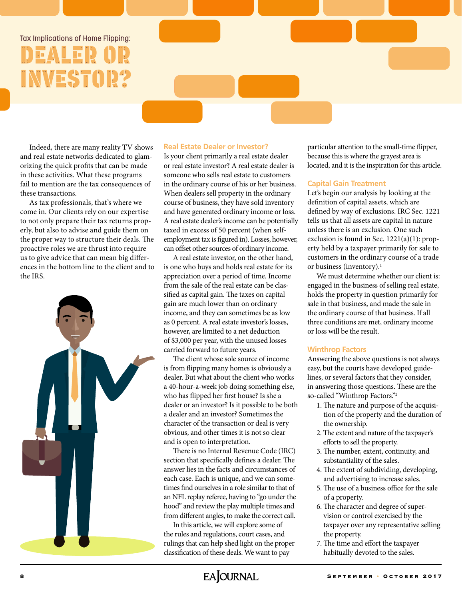## **Tax Implications of Home Flipping:** DEALER **INVESTOR?**

Indeed, there are many reality TV shows and real estate networks dedicated to glamorizing the quick profits that can be made in these activities. What these programs fail to mention are the tax consequences of these transactions.

As tax professionals, that's where we come in. Our clients rely on our expertise to not only prepare their tax returns properly, but also to advise and guide them on the proper way to structure their deals. The proactive roles we are thrust into require us to give advice that can mean big differences in the bottom line to the client and to the IRS.



### **Real Estate Dealer or Investor?**

Is your client primarily a real estate dealer or real estate investor? A real estate dealer is someone who sells real estate to customers in the ordinary course of his or her business. When dealers sell property in the ordinary course of business, they have sold inventory and have generated ordinary income or loss. A real estate dealer's income can be potentially taxed in excess of 50 percent (when selfemployment tax is figured in). Losses, however, can offset other sources of ordinary income.

A real estate investor, on the other hand, is one who buys and holds real estate for its appreciation over a period of time. Income from the sale of the real estate can be classified as capital gain. The taxes on capital gain are much lower than on ordinary income, and they can sometimes be as low as 0 percent. A real estate investor's losses, however, are limited to a net deduction of \$3,000 per year, with the unused losses carried forward to future years.

The client whose sole source of income is from flipping many homes is obviously a dealer. But what about the client who works a 40-hour-a-week job doing something else, who has flipped her first house? Is she a dealer or an investor? Is it possible to be both a dealer and an investor? Sometimes the character of the transaction or deal is very obvious, and other times it is not so clear and is open to interpretation.

There is no Internal Revenue Code (IRC) section that specifically defines a dealer. The answer lies in the facts and circumstances of each case. Each is unique, and we can sometimes find ourselves in a role similar to that of an NFL replay referee, having to "go under the hood" and review the play multiple times and from different angles, to make the correct call.

In this article, we will explore some of the rules and regulations, court cases, and rulings that can help shed light on the proper classification of these deals. We want to pay

particular attention to the small-time flipper, because this is where the grayest area is located, and it is the inspiration for this article.

### **Capital Gain Treatment**

Let's begin our analysis by looking at the definition of capital assets, which are defined by way of exclusions. IRC Sec. 1221 tells us that all assets are capital in nature unless there is an exclusion. One such exclusion is found in Sec. 1221(a)(1): property held by a taxpayer primarily for sale to customers in the ordinary course of a trade or business (inventory).<sup>1</sup>

We must determine whether our client is: engaged in the business of selling real estate, holds the property in question primarily for sale in that business, and made the sale in the ordinary course of that business. If all three conditions are met, ordinary income or loss will be the result.

### **Winthrop Factors**

Answering the above questions is not always easy, but the courts have developed guidelines, or several factors that they consider, in answering those questions. These are the so-called "Winthrop Factors."2

- 1. The nature and purpose of the acquisition of the property and the duration of the ownership.
- 2. The extent and nature of the taxpayer's efforts to sell the property.
- 3. The number, extent, continuity, and substantiality of the sales.
- 4. The extent of subdividing, developing, and advertising to increase sales.
- 5. The use of a business office for the sale of a property.
- 6. The character and degree of supervision or control exercised by the taxpayer over any representative selling the property.
- 7. The time and effort the taxpayer habitually devoted to the sales.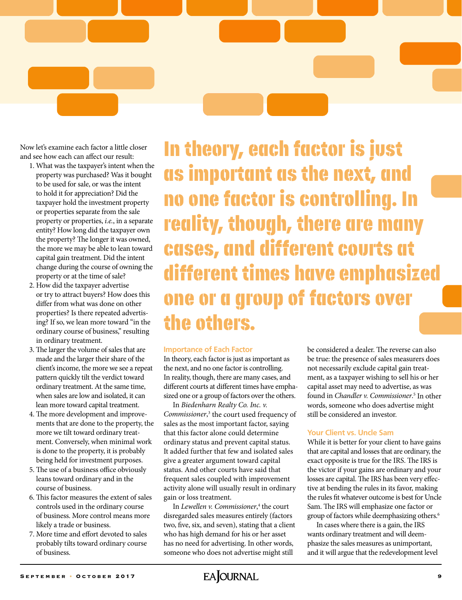Now let's examine each factor a little closer and see how each can affect our result:

- 1. What was the taxpayer's intent when the property was purchased? Was it bought to be used for sale, or was the intent to hold it for appreciation? Did the taxpayer hold the investment property or properties separate from the sale property or properties, *i.e.*, in a separate entity? How long did the taxpayer own the property? The longer it was owned, the more we may be able to lean toward capital gain treatment. Did the intent change during the course of owning the property or at the time of sale?
- 2. How did the taxpayer advertise or try to attract buyers? How does this differ from what was done on other properties? Is there repeated advertising? If so, we lean more toward "in the ordinary course of business," resulting in ordinary treatment.
- 3. The larger the volume of sales that are made and the larger their share of the client's income, the more we see a repeat pattern quickly tilt the verdict toward ordinary treatment. At the same time, when sales are low and isolated, it can lean more toward capital treatment.
- 4. The more development and improvements that are done to the property, the more we tilt toward ordinary treatment. Conversely, when minimal work is done to the property, it is probably being held for investment purposes.
- 5. The use of a business office obviously leans toward ordinary and in the course of business.
- 6. This factor measures the extent of sales controls used in the ordinary course of business. More control means more likely a trade or business.
- 7. More time and effort devoted to sales probably tilts toward ordinary course of business.

In theory, each factor is just as important as the next, and no one factor is controlling. In reality, though, there are many cases, and different courts at different times have emphasized one or a group of factors over the others.

### **Importance of Each Factor**

In theory, each factor is just as important as the next, and no one factor is controlling. In reality, though, there are many cases, and different courts at different times have emphasized one or a group of factors over the others.

In *Biedenharn Realty Co. Inc. v.*  Commissioner,<sup>3</sup> the court used frequency of sales as the most important factor, saying that this factor alone could determine ordinary status and prevent capital status. It added further that few and isolated sales give a greater argument toward capital status. And other courts have said that frequent sales coupled with improvement activity alone will usually result in ordinary gain or loss treatment.

In *Lewellen v. Commissioner*, 4 the court disregarded sales measures entirely (factors two, five, six, and seven), stating that a client who has high demand for his or her asset has no need for advertising. In other words, someone who does not advertise might still

be considered a dealer. The reverse can also be true: the presence of sales measurers does not necessarily exclude capital gain treatment, as a taxpayer wishing to sell his or her capital asset may need to advertise, as was found in *Chandler v. Commissioner*. 5 In other words, someone who does advertise might still be considered an investor.

### **Your Client vs. Uncle Sam**

While it is better for your client to have gains that are capital and losses that are ordinary, the exact opposite is true for the IRS. The IRS is the victor if your gains are ordinary and your losses are capital. The IRS has been very effective at bending the rules in its favor, making the rules fit whatever outcome is best for Uncle Sam. The IRS will emphasize one factor or group of factors while deemphasizing others.6

In cases where there is a gain, the IRS wants ordinary treatment and will deemphasize the sales measures as unimportant, and it will argue that the redevelopment level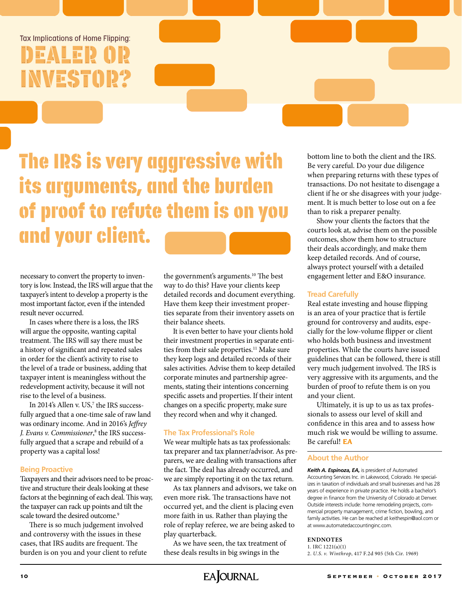# **Tax Implications of Home Flipping:** DEALER INVESTOR

# The IRS is very aggressive with its arguments, and the burden of proof to refute them is on you and your client.

necessary to convert the property to inventory is low. Instead, the IRS will argue that the taxpayer's intent to develop a property is the most important factor, even if the intended result never occurred.

In cases where there is a loss, the IRS will argue the opposite, wanting capital treatment. The IRS will say there must be a history of significant and repeated sales in order for the client's activity to rise to the level of a trade or business, adding that taxpayer intent is meaningless without the redevelopment activity, because it will not rise to the level of a business.

In 2014's Allen v. US,<sup>7</sup> the IRS successfully argued that a one-time sale of raw land was ordinary income. And in 2016's *Jeffrey J. Evans v. Commissioner*, 8 the IRS successfully argued that a scrape and rebuild of a property was a capital loss!

### **Being Proactive**

Taxpayers and their advisors need to be proactive and structure their deals looking at these factors at the beginning of each deal. This way, the taxpayer can rack up points and tilt the scale toward the desired outcome.<sup>9</sup>

There is so much judgement involved and controversy with the issues in these cases, that IRS audits are frequent. The burden is on you and your client to refute the government's arguments.<sup>10</sup> The best way to do this? Have your clients keep detailed records and document everything. Have them keep their investment properties separate from their inventory assets on their balance sheets.

It is even better to have your clients hold their investment properties in separate entities from their sale properties.<sup>11</sup> Make sure they keep logs and detailed records of their sales activities. Advise them to keep detailed corporate minutes and partnership agreements, stating their intentions concerning specific assets and properties. If their intent changes on a specific property, make sure they record when and why it changed.

### **The Tax Professional's Role**

We wear multiple hats as tax professionals: tax preparer and tax planner/advisor. As preparers, we are dealing with transactions after the fact. The deal has already occurred, and we are simply reporting it on the tax return.

As tax planners and advisors, we take on even more risk. The transactions have not occurred yet, and the client is placing even more faith in us. Rather than playing the role of replay referee, we are being asked to play quarterback.

As we have seen, the tax treatment of these deals results in big swings in the

bottom line to both the client and the IRS. Be very careful. Do your due diligence when preparing returns with these types of transactions. Do not hesitate to disengage a client if he or she disagrees with your judgement. It is much better to lose out on a fee than to risk a preparer penalty.

Show your clients the factors that the courts look at, advise them on the possible outcomes, show them how to structure their deals accordingly, and make them keep detailed records. And of course, always protect yourself with a detailed engagement letter and E&O insurance.

### **Tread Carefully**

Real estate investing and house flipping is an area of your practice that is fertile ground for controversy and audits, especially for the low-volume flipper or client who holds both business and investment properties. While the courts have issued guidelines that can be followed, there is still very much judgement involved. The IRS is very aggressive with its arguments, and the burden of proof to refute them is on you and your client.

Ultimately, it is up to us as tax professionals to assess our level of skill and confidence in this area and to assess how much risk we would be willing to assume. Be careful! **EA**

### **About the Author**

*Keith A. Espinoza, EA,* is president of Automated Accounting Services Inc. in Lakewood, Colorado. He specializes in taxation of individuals and small businesses and has 28 years of experience in private practice. He holds a bachelor's degree in finance from the University of Colorado at Denver. Outside interests include: home remodeling projects, commercial property management, crime fiction, bowling, and family activities. He can be reached at keithespin@aol.com or at www.automatedaccountinginc.com.

### **ENDNOTES**

1. IRC 1221(a)(1) 2. *U.S. v. Winthrop*, 417 F.2d 905 (5th Cir. 1969)